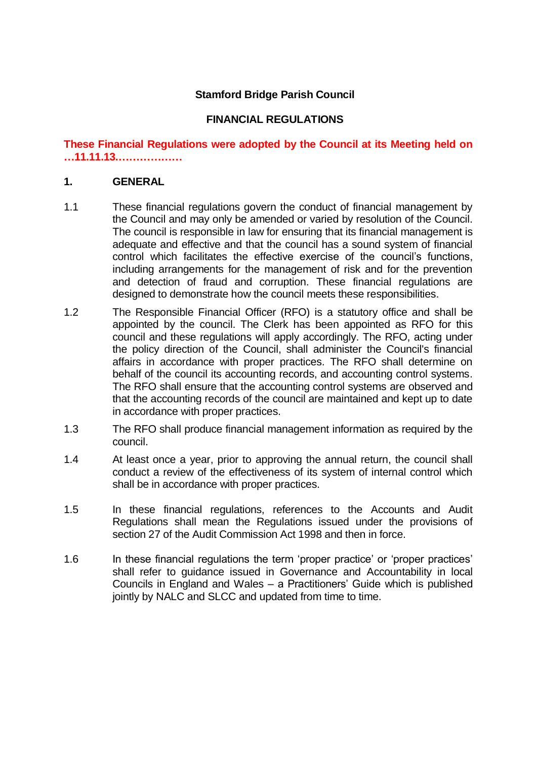## **Stamford Bridge Parish Council**

### **FINANCIAL REGULATIONS**

### **These Financial Regulations were adopted by the Council at its Meeting held on …11.11.13.………………**

#### **1. GENERAL**

- 1.1 These financial regulations govern the conduct of financial management by the Council and may only be amended or varied by resolution of the Council. The council is responsible in law for ensuring that its financial management is adequate and effective and that the council has a sound system of financial control which facilitates the effective exercise of the council's functions, including arrangements for the management of risk and for the prevention and detection of fraud and corruption. These financial regulations are designed to demonstrate how the council meets these responsibilities.
- 1.2 The Responsible Financial Officer (RFO) is a statutory office and shall be appointed by the council. The Clerk has been appointed as RFO for this council and these regulations will apply accordingly. The RFO, acting under the policy direction of the Council, shall administer the Council's financial affairs in accordance with proper practices. The RFO shall determine on behalf of the council its accounting records, and accounting control systems. The RFO shall ensure that the accounting control systems are observed and that the accounting records of the council are maintained and kept up to date in accordance with proper practices.
- 1.3 The RFO shall produce financial management information as required by the council.
- 1.4 At least once a year, prior to approving the annual return, the council shall conduct a review of the effectiveness of its system of internal control which shall be in accordance with proper practices.
- 1.5 In these financial regulations, references to the Accounts and Audit Regulations shall mean the Regulations issued under the provisions of section 27 of the Audit Commission Act 1998 and then in force.
- 1.6 In these financial regulations the term 'proper practice' or 'proper practices' shall refer to guidance issued in Governance and Accountability in local Councils in England and Wales – a Practitioners' Guide which is published jointly by NALC and SLCC and updated from time to time.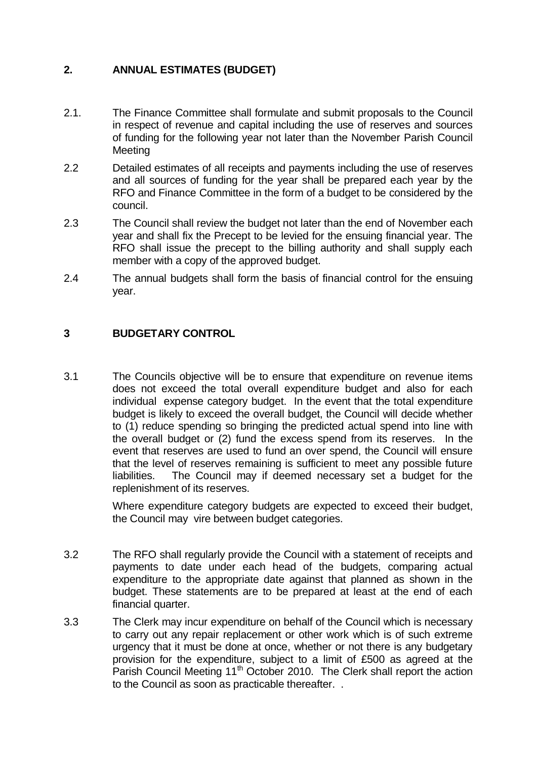# **2. ANNUAL ESTIMATES (BUDGET)**

- 2.1. The Finance Committee shall formulate and submit proposals to the Council in respect of revenue and capital including the use of reserves and sources of funding for the following year not later than the November Parish Council **Meeting**
- 2.2 Detailed estimates of all receipts and payments including the use of reserves and all sources of funding for the year shall be prepared each year by the RFO and Finance Committee in the form of a budget to be considered by the council.
- 2.3 The Council shall review the budget not later than the end of November each year and shall fix the Precept to be levied for the ensuing financial year. The RFO shall issue the precept to the billing authority and shall supply each member with a copy of the approved budget.
- 2.4 The annual budgets shall form the basis of financial control for the ensuing year.

# **3 BUDGETARY CONTROL**

3.1 The Councils objective will be to ensure that expenditure on revenue items does not exceed the total overall expenditure budget and also for each individual expense category budget. In the event that the total expenditure budget is likely to exceed the overall budget, the Council will decide whether to (1) reduce spending so bringing the predicted actual spend into line with the overall budget or (2) fund the excess spend from its reserves. In the event that reserves are used to fund an over spend, the Council will ensure that the level of reserves remaining is sufficient to meet any possible future liabilities. The Council may if deemed necessary set a budget for the replenishment of its reserves.

> Where expenditure category budgets are expected to exceed their budget, the Council may vire between budget categories.

- 3.2 The RFO shall regularly provide the Council with a statement of receipts and payments to date under each head of the budgets, comparing actual expenditure to the appropriate date against that planned as shown in the budget. These statements are to be prepared at least at the end of each financial quarter.
- 3.3 The Clerk may incur expenditure on behalf of the Council which is necessary to carry out any repair replacement or other work which is of such extreme urgency that it must be done at once, whether or not there is any budgetary provision for the expenditure, subject to a limit of £500 as agreed at the Parish Council Meeting 11<sup>th</sup> October 2010. The Clerk shall report the action to the Council as soon as practicable thereafter. .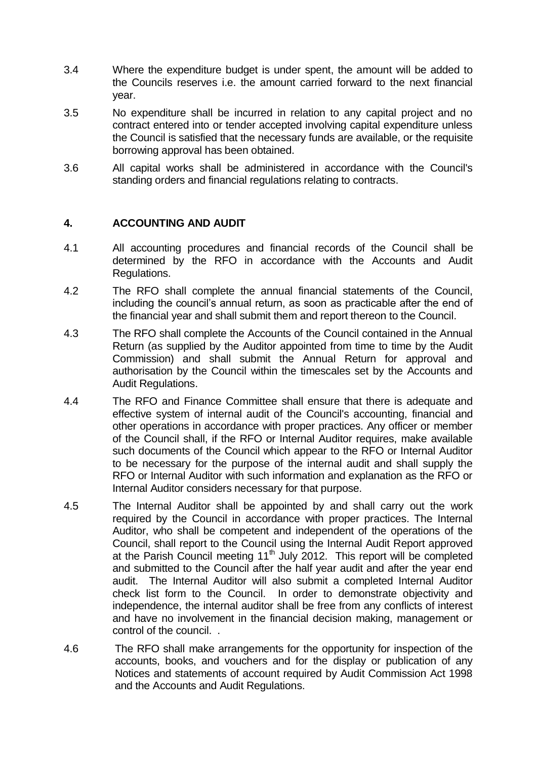- 3.4 Where the expenditure budget is under spent, the amount will be added to the Councils reserves i.e. the amount carried forward to the next financial year.
- 3.5 No expenditure shall be incurred in relation to any capital project and no contract entered into or tender accepted involving capital expenditure unless the Council is satisfied that the necessary funds are available, or the requisite borrowing approval has been obtained.
- 3.6 All capital works shall be administered in accordance with the Council's standing orders and financial regulations relating to contracts.

### **4. ACCOUNTING AND AUDIT**

- 4.1 All accounting procedures and financial records of the Council shall be determined by the RFO in accordance with the Accounts and Audit Regulations.
- 4.2 The RFO shall complete the annual financial statements of the Council, including the council's annual return, as soon as practicable after the end of the financial year and shall submit them and report thereon to the Council.
- 4.3 The RFO shall complete the Accounts of the Council contained in the Annual Return (as supplied by the Auditor appointed from time to time by the Audit Commission) and shall submit the Annual Return for approval and authorisation by the Council within the timescales set by the Accounts and Audit Regulations.
- 4.4 The RFO and Finance Committee shall ensure that there is adequate and effective system of internal audit of the Council's accounting, financial and other operations in accordance with proper practices. Any officer or member of the Council shall, if the RFO or Internal Auditor requires, make available such documents of the Council which appear to the RFO or Internal Auditor to be necessary for the purpose of the internal audit and shall supply the RFO or Internal Auditor with such information and explanation as the RFO or Internal Auditor considers necessary for that purpose.
- 4.5 The Internal Auditor shall be appointed by and shall carry out the work required by the Council in accordance with proper practices. The Internal Auditor, who shall be competent and independent of the operations of the Council, shall report to the Council using the Internal Audit Report approved at the Parish Council meeting 11<sup>th</sup> July 2012. This report will be completed and submitted to the Council after the half year audit and after the year end audit. The Internal Auditor will also submit a completed Internal Auditor check list form to the Council. In order to demonstrate objectivity and independence, the internal auditor shall be free from any conflicts of interest and have no involvement in the financial decision making, management or control of the council. .
- 4.6 The RFO shall make arrangements for the opportunity for inspection of the accounts, books, and vouchers and for the display or publication of any Notices and statements of account required by Audit Commission Act 1998 and the Accounts and Audit Regulations.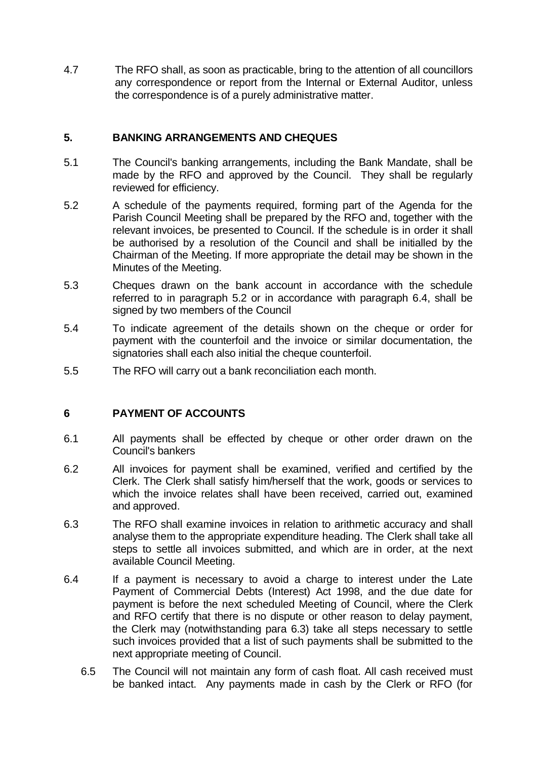4.7 The RFO shall, as soon as practicable, bring to the attention of all councillors any correspondence or report from the Internal or External Auditor, unless the correspondence is of a purely administrative matter.

## **5. BANKING ARRANGEMENTS AND CHEQUES**

- 5.1 The Council's banking arrangements, including the Bank Mandate, shall be made by the RFO and approved by the Council. They shall be regularly reviewed for efficiency.
- 5.2 A schedule of the payments required, forming part of the Agenda for the Parish Council Meeting shall be prepared by the RFO and, together with the relevant invoices, be presented to Council. If the schedule is in order it shall be authorised by a resolution of the Council and shall be initialled by the Chairman of the Meeting. If more appropriate the detail may be shown in the Minutes of the Meeting.
- 5.3 Cheques drawn on the bank account in accordance with the schedule referred to in paragraph 5.2 or in accordance with paragraph 6.4, shall be signed by two members of the Council
- 5.4 To indicate agreement of the details shown on the cheque or order for payment with the counterfoil and the invoice or similar documentation, the signatories shall each also initial the cheque counterfoil.
- 5.5 The RFO will carry out a bank reconciliation each month.

#### **6 PAYMENT OF ACCOUNTS**

- 6.1 All payments shall be effected by cheque or other order drawn on the Council's bankers
- 6.2 All invoices for payment shall be examined, verified and certified by the Clerk. The Clerk shall satisfy him/herself that the work, goods or services to which the invoice relates shall have been received, carried out, examined and approved.
- 6.3 The RFO shall examine invoices in relation to arithmetic accuracy and shall analyse them to the appropriate expenditure heading. The Clerk shall take all steps to settle all invoices submitted, and which are in order, at the next available Council Meeting.
- 6.4 If a payment is necessary to avoid a charge to interest under the Late Payment of Commercial Debts (Interest) Act 1998, and the due date for payment is before the next scheduled Meeting of Council, where the Clerk and RFO certify that there is no dispute or other reason to delay payment, the Clerk may (notwithstanding para 6.3) take all steps necessary to settle such invoices provided that a list of such payments shall be submitted to the next appropriate meeting of Council.
	- 6.5 The Council will not maintain any form of cash float. All cash received must be banked intact. Any payments made in cash by the Clerk or RFO (for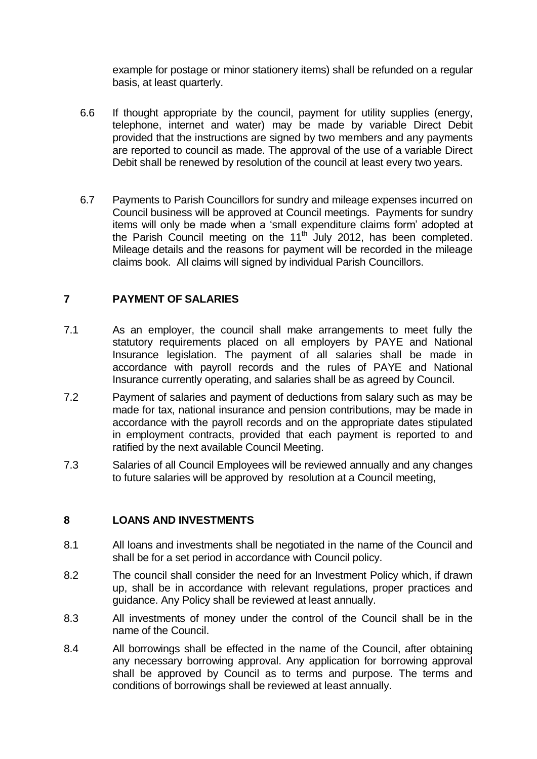example for postage or minor stationery items) shall be refunded on a regular basis, at least quarterly.

- 6.6 If thought appropriate by the council, payment for utility supplies (energy, telephone, internet and water) may be made by variable Direct Debit provided that the instructions are signed by two members and any payments are reported to council as made. The approval of the use of a variable Direct Debit shall be renewed by resolution of the council at least every two years.
- 6.7 Payments to Parish Councillors for sundry and mileage expenses incurred on Council business will be approved at Council meetings. Payments for sundry items will only be made when a 'small expenditure claims form' adopted at the Parish Council meeting on the  $11<sup>th</sup>$  July 2012, has been completed. Mileage details and the reasons for payment will be recorded in the mileage claims book. All claims will signed by individual Parish Councillors.

### **7 PAYMENT OF SALARIES**

- 7.1 As an employer, the council shall make arrangements to meet fully the statutory requirements placed on all employers by PAYE and National Insurance legislation. The payment of all salaries shall be made in accordance with payroll records and the rules of PAYE and National Insurance currently operating, and salaries shall be as agreed by Council.
- 7.2 Payment of salaries and payment of deductions from salary such as may be made for tax, national insurance and pension contributions, may be made in accordance with the payroll records and on the appropriate dates stipulated in employment contracts, provided that each payment is reported to and ratified by the next available Council Meeting.
- 7.3 Salaries of all Council Employees will be reviewed annually and any changes to future salaries will be approved by resolution at a Council meeting,

#### **8 LOANS AND INVESTMENTS**

- 8.1 All loans and investments shall be negotiated in the name of the Council and shall be for a set period in accordance with Council policy.
- 8.2 The council shall consider the need for an Investment Policy which, if drawn up, shall be in accordance with relevant regulations, proper practices and guidance. Any Policy shall be reviewed at least annually.
- 8.3 All investments of money under the control of the Council shall be in the name of the Council.
- 8.4 All borrowings shall be effected in the name of the Council, after obtaining any necessary borrowing approval. Any application for borrowing approval shall be approved by Council as to terms and purpose. The terms and conditions of borrowings shall be reviewed at least annually.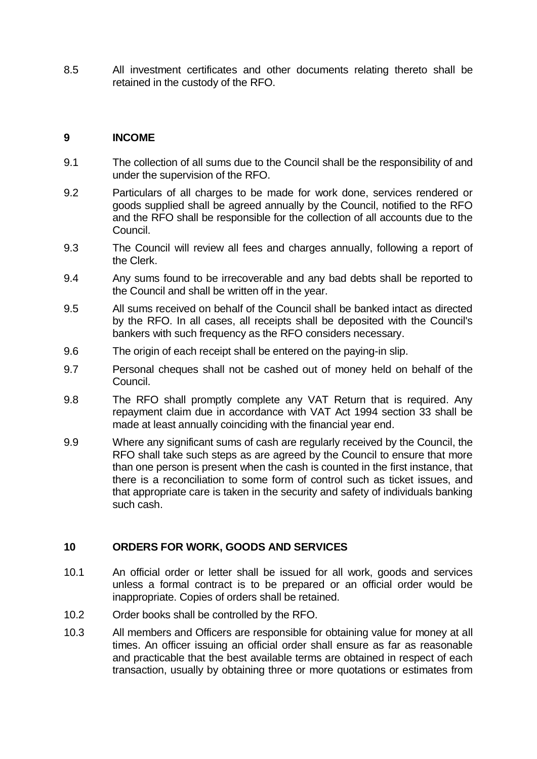8.5 All investment certificates and other documents relating thereto shall be retained in the custody of the RFO.

### **9 INCOME**

- 9.1 The collection of all sums due to the Council shall be the responsibility of and under the supervision of the RFO.
- 9.2 Particulars of all charges to be made for work done, services rendered or goods supplied shall be agreed annually by the Council, notified to the RFO and the RFO shall be responsible for the collection of all accounts due to the Council.
- 9.3 The Council will review all fees and charges annually, following a report of the Clerk.
- 9.4 Any sums found to be irrecoverable and any bad debts shall be reported to the Council and shall be written off in the year.
- 9.5 All sums received on behalf of the Council shall be banked intact as directed by the RFO. In all cases, all receipts shall be deposited with the Council's bankers with such frequency as the RFO considers necessary.
- 9.6 The origin of each receipt shall be entered on the paying-in slip.
- 9.7 Personal cheques shall not be cashed out of money held on behalf of the Council.
- 9.8 The RFO shall promptly complete any VAT Return that is required. Any repayment claim due in accordance with VAT Act 1994 section 33 shall be made at least annually coinciding with the financial year end.
- 9.9 Where any significant sums of cash are regularly received by the Council, the RFO shall take such steps as are agreed by the Council to ensure that more than one person is present when the cash is counted in the first instance, that there is a reconciliation to some form of control such as ticket issues, and that appropriate care is taken in the security and safety of individuals banking such cash.

#### **10 ORDERS FOR WORK, GOODS AND SERVICES**

- 10.1 An official order or letter shall be issued for all work, goods and services unless a formal contract is to be prepared or an official order would be inappropriate. Copies of orders shall be retained.
- 10.2 Order books shall be controlled by the RFO.
- 10.3 All members and Officers are responsible for obtaining value for money at all times. An officer issuing an official order shall ensure as far as reasonable and practicable that the best available terms are obtained in respect of each transaction, usually by obtaining three or more quotations or estimates from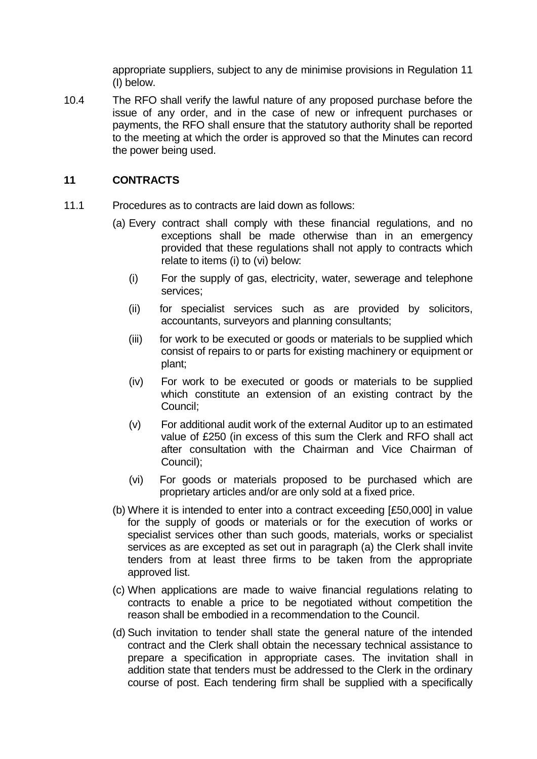appropriate suppliers, subject to any de minimise provisions in Regulation 11 (I) below.

10.4 The RFO shall verify the lawful nature of any proposed purchase before the issue of any order, and in the case of new or infrequent purchases or payments, the RFO shall ensure that the statutory authority shall be reported to the meeting at which the order is approved so that the Minutes can record the power being used.

### **11 CONTRACTS**

- 11.1 Procedures as to contracts are laid down as follows:
	- (a) Every contract shall comply with these financial regulations, and no exceptions shall be made otherwise than in an emergency provided that these regulations shall not apply to contracts which relate to items (i) to (vi) below:
		- (i) For the supply of gas, electricity, water, sewerage and telephone services;
		- (ii) for specialist services such as are provided by solicitors, accountants, surveyors and planning consultants;
		- (iii) for work to be executed or goods or materials to be supplied which consist of repairs to or parts for existing machinery or equipment or plant;
		- (iv) For work to be executed or goods or materials to be supplied which constitute an extension of an existing contract by the Council;
		- (v) For additional audit work of the external Auditor up to an estimated value of £250 (in excess of this sum the Clerk and RFO shall act after consultation with the Chairman and Vice Chairman of Council);
		- (vi) For goods or materials proposed to be purchased which are proprietary articles and/or are only sold at a fixed price.
	- (b) Where it is intended to enter into a contract exceeding [£50,000] in value for the supply of goods or materials or for the execution of works or specialist services other than such goods, materials, works or specialist services as are excepted as set out in paragraph (a) the Clerk shall invite tenders from at least three firms to be taken from the appropriate approved list.
	- (c) When applications are made to waive financial regulations relating to contracts to enable a price to be negotiated without competition the reason shall be embodied in a recommendation to the Council.
	- (d) Such invitation to tender shall state the general nature of the intended contract and the Clerk shall obtain the necessary technical assistance to prepare a specification in appropriate cases. The invitation shall in addition state that tenders must be addressed to the Clerk in the ordinary course of post. Each tendering firm shall be supplied with a specifically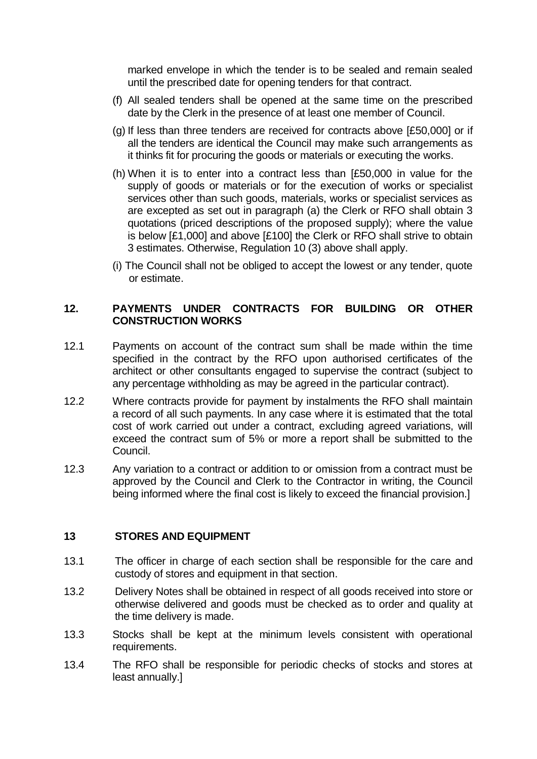marked envelope in which the tender is to be sealed and remain sealed until the prescribed date for opening tenders for that contract.

- (f) All sealed tenders shall be opened at the same time on the prescribed date by the Clerk in the presence of at least one member of Council.
- (g) If less than three tenders are received for contracts above [£50,000] or if all the tenders are identical the Council may make such arrangements as it thinks fit for procuring the goods or materials or executing the works.
- (h) When it is to enter into a contract less than [£50,000 in value for the supply of goods or materials or for the execution of works or specialist services other than such goods, materials, works or specialist services as are excepted as set out in paragraph (a) the Clerk or RFO shall obtain 3 quotations (priced descriptions of the proposed supply); where the value is below [£1,000] and above [£100] the Clerk or RFO shall strive to obtain 3 estimates. Otherwise, Regulation 10 (3) above shall apply.
- (i) The Council shall not be obliged to accept the lowest or any tender, quote or estimate.

### **12. PAYMENTS UNDER CONTRACTS FOR BUILDING OR OTHER CONSTRUCTION WORKS**

- 12.1 Payments on account of the contract sum shall be made within the time specified in the contract by the RFO upon authorised certificates of the architect or other consultants engaged to supervise the contract (subject to any percentage withholding as may be agreed in the particular contract).
- 12.2 Where contracts provide for payment by instalments the RFO shall maintain a record of all such payments. In any case where it is estimated that the total cost of work carried out under a contract, excluding agreed variations, will exceed the contract sum of 5% or more a report shall be submitted to the Council.
- 12.3 Any variation to a contract or addition to or omission from a contract must be approved by the Council and Clerk to the Contractor in writing, the Council being informed where the final cost is likely to exceed the financial provision.]

#### **13 STORES AND EQUIPMENT**

- 13.1 The officer in charge of each section shall be responsible for the care and custody of stores and equipment in that section.
- 13.2 Delivery Notes shall be obtained in respect of all goods received into store or otherwise delivered and goods must be checked as to order and quality at the time delivery is made.
- 13.3 Stocks shall be kept at the minimum levels consistent with operational requirements.
- 13.4 The RFO shall be responsible for periodic checks of stocks and stores at least annually.]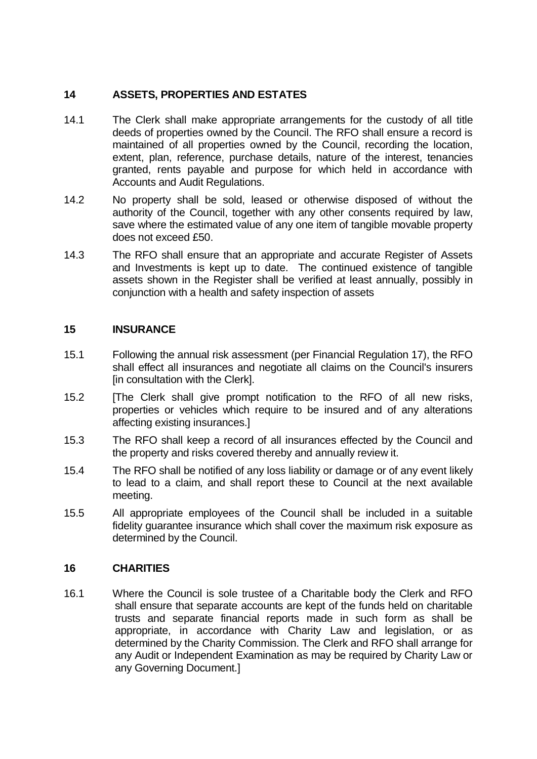# **14 ASSETS, PROPERTIES AND ESTATES**

- 14.1 The Clerk shall make appropriate arrangements for the custody of all title deeds of properties owned by the Council. The RFO shall ensure a record is maintained of all properties owned by the Council, recording the location, extent, plan, reference, purchase details, nature of the interest, tenancies granted, rents payable and purpose for which held in accordance with Accounts and Audit Regulations.
- 14.2 No property shall be sold, leased or otherwise disposed of without the authority of the Council, together with any other consents required by law, save where the estimated value of any one item of tangible movable property does not exceed £50.
- 14.3 The RFO shall ensure that an appropriate and accurate Register of Assets and Investments is kept up to date. The continued existence of tangible assets shown in the Register shall be verified at least annually, possibly in conjunction with a health and safety inspection of assets

# **15 INSURANCE**

- 15.1 Following the annual risk assessment (per Financial Regulation 17), the RFO shall effect all insurances and negotiate all claims on the Council's insurers [in consultation with the Clerk].
- 15.2 [The Clerk shall give prompt notification to the RFO of all new risks, properties or vehicles which require to be insured and of any alterations affecting existing insurances.]
- 15.3 The RFO shall keep a record of all insurances effected by the Council and the property and risks covered thereby and annually review it.
- 15.4 The RFO shall be notified of any loss liability or damage or of any event likely to lead to a claim, and shall report these to Council at the next available meeting.
- 15.5 All appropriate employees of the Council shall be included in a suitable fidelity guarantee insurance which shall cover the maximum risk exposure as determined by the Council.

# **16 CHARITIES**

16.1 Where the Council is sole trustee of a Charitable body the Clerk and RFO shall ensure that separate accounts are kept of the funds held on charitable trusts and separate financial reports made in such form as shall be appropriate, in accordance with Charity Law and legislation, or as determined by the Charity Commission. The Clerk and RFO shall arrange for any Audit or Independent Examination as may be required by Charity Law or any Governing Document.]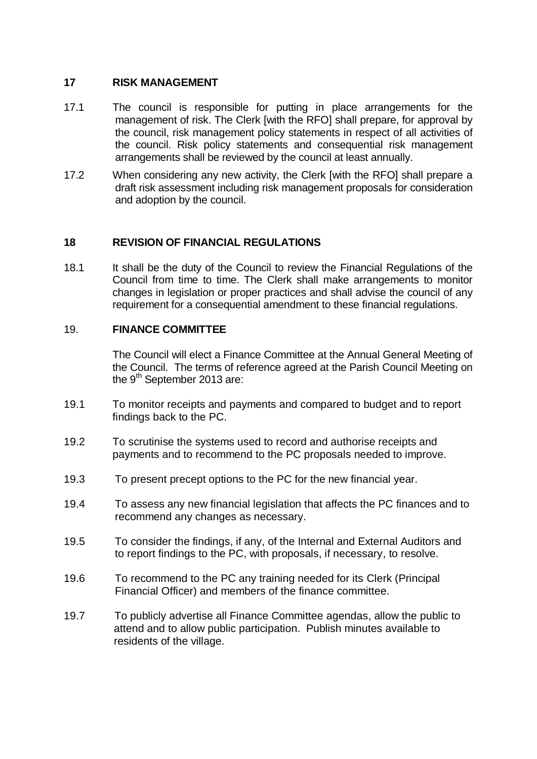### **17 RISK MANAGEMENT**

- 17.1 The council is responsible for putting in place arrangements for the management of risk. The Clerk [with the RFO] shall prepare, for approval by the council, risk management policy statements in respect of all activities of the council. Risk policy statements and consequential risk management arrangements shall be reviewed by the council at least annually.
- 17.2 When considering any new activity, the Clerk [with the RFO] shall prepare a draft risk assessment including risk management proposals for consideration and adoption by the council.

### **18 REVISION OF FINANCIAL REGULATIONS**

18.1 It shall be the duty of the Council to review the Financial Regulations of the Council from time to time. The Clerk shall make arrangements to monitor changes in legislation or proper practices and shall advise the council of any requirement for a consequential amendment to these financial regulations.

#### 19. **FINANCE COMMITTEE**

The Council will elect a Finance Committee at the Annual General Meeting of the Council. The terms of reference agreed at the Parish Council Meeting on the 9<sup>th</sup> September 2013 are:

- 19.1 To monitor receipts and payments and compared to budget and to report findings back to the PC.
- 19.2 To scrutinise the systems used to record and authorise receipts and payments and to recommend to the PC proposals needed to improve.
- 19.3 To present precept options to the PC for the new financial year.
- 19.4 To assess any new financial legislation that affects the PC finances and to recommend any changes as necessary.
- 19.5 To consider the findings, if any, of the Internal and External Auditors and to report findings to the PC, with proposals, if necessary, to resolve.
- 19.6 To recommend to the PC any training needed for its Clerk (Principal Financial Officer) and members of the finance committee.
- 19.7 To publicly advertise all Finance Committee agendas, allow the public to attend and to allow public participation. Publish minutes available to residents of the village.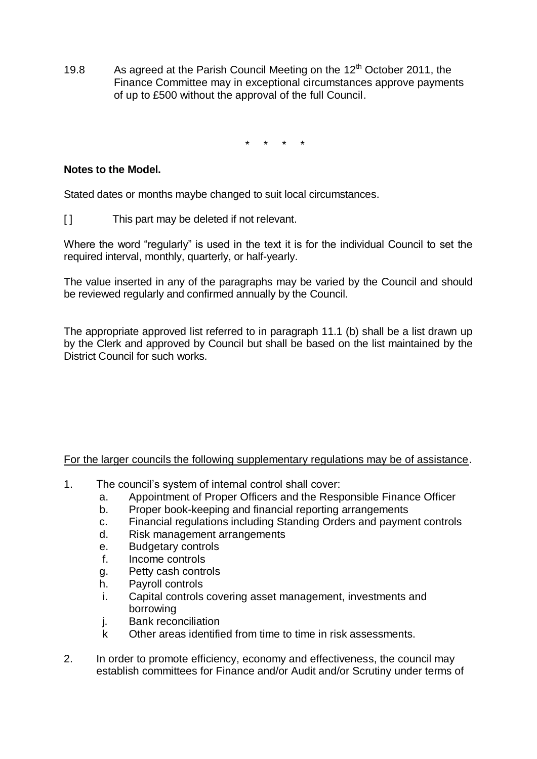19.8 As agreed at the Parish Council Meeting on the  $12<sup>th</sup>$  October 2011, the Finance Committee may in exceptional circumstances approve payments of up to £500 without the approval of the full Council.

\* \* \* \*

## **Notes to the Model.**

Stated dates or months maybe changed to suit local circumstances.

[ ] This part may be deleted if not relevant.

Where the word "regularly" is used in the text it is for the individual Council to set the required interval, monthly, quarterly, or half-yearly.

The value inserted in any of the paragraphs may be varied by the Council and should be reviewed regularly and confirmed annually by the Council.

The appropriate approved list referred to in paragraph 11.1 (b) shall be a list drawn up by the Clerk and approved by Council but shall be based on the list maintained by the District Council for such works.

#### For the larger councils the following supplementary regulations may be of assistance.

- 1. The council's system of internal control shall cover:
	- a. Appointment of Proper Officers and the Responsible Finance Officer
	- b. Proper book-keeping and financial reporting arrangements
	- c. Financial regulations including Standing Orders and payment controls
	- d. Risk management arrangements
	- e. Budgetary controls
	- f. Income controls
	- g. Petty cash controls
	- h. Payroll controls
	- i. Capital controls covering asset management, investments and borrowing
	- j. Bank reconciliation
	- k Other areas identified from time to time in risk assessments.
- 2. In order to promote efficiency, economy and effectiveness, the council may establish committees for Finance and/or Audit and/or Scrutiny under terms of